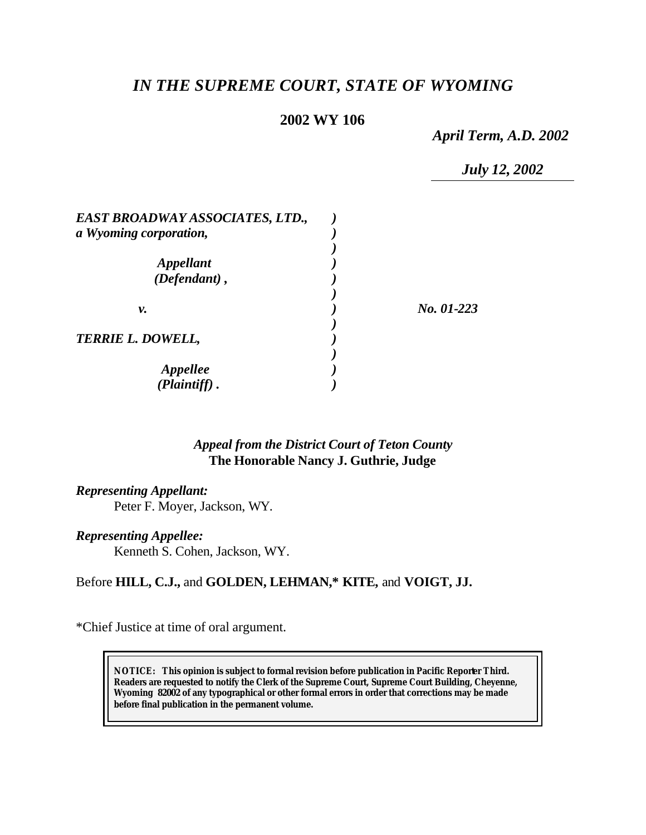# *IN THE SUPREME COURT, STATE OF WYOMING*

### **2002 WY 106**

*April Term, A.D. 2002*

*July 12, 2002*

| EAST BROADWAY ASSOCIATES, LTD., |            |
|---------------------------------|------------|
| a Wyoming corporation,          |            |
|                                 |            |
| <i><b>Appellant</b></i>         |            |
| $(Defendant)$ ,                 |            |
|                                 |            |
| v.                              | No. 01-223 |
|                                 |            |
| <b>TERRIE L. DOWELL,</b>        |            |
|                                 |            |
| <i><b>Appellee</b></i>          |            |
| $(Plaintiff)$ .                 |            |

### *Appeal from the District Court of Teton County* **The Honorable Nancy J. Guthrie, Judge**

### *Representing Appellant:*

Peter F. Moyer, Jackson, WY.

#### *Representing Appellee:*

Kenneth S. Cohen, Jackson, WY.

## Before **HILL, C.J.,** and **GOLDEN, LEHMAN,\* KITE,** and **VOIGT, JJ.**

\*Chief Justice at time of oral argument.

**NOTICE:** *This opinion is subject to formal revision before publication in Pacific Reporter Third. Readers are requested to notify the Clerk of the Supreme Court, Supreme Court Building, Cheyenne, Wyoming 82002 of any typographical or other formal errors in order that corrections may be made before final publication in the permanent volume.*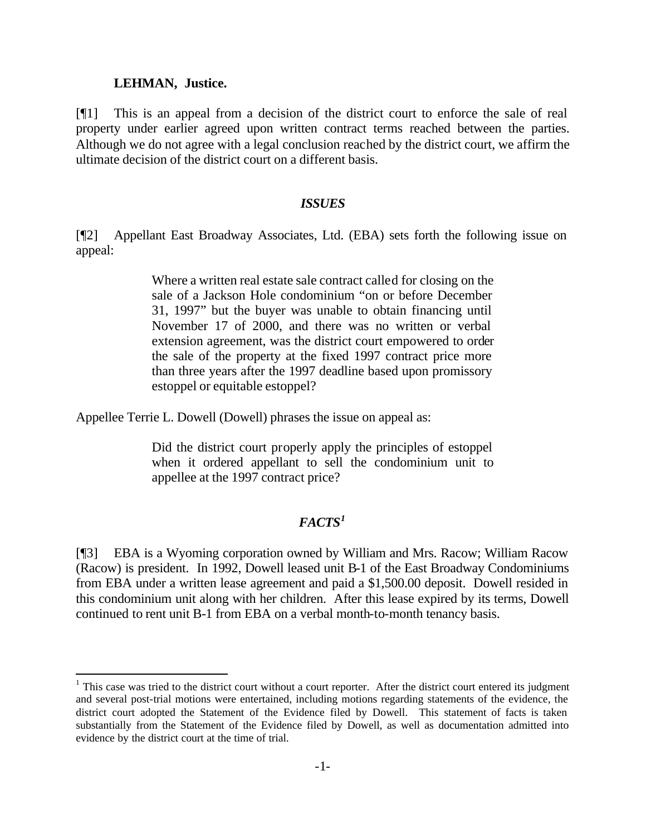#### **LEHMAN, Justice.**

l

[¶1] This is an appeal from a decision of the district court to enforce the sale of real property under earlier agreed upon written contract terms reached between the parties. Although we do not agree with a legal conclusion reached by the district court, we affirm the ultimate decision of the district court on a different basis.

#### *ISSUES*

[¶2] Appellant East Broadway Associates, Ltd. (EBA) sets forth the following issue on appeal:

> Where a written real estate sale contract called for closing on the sale of a Jackson Hole condominium "on or before December 31, 1997" but the buyer was unable to obtain financing until November 17 of 2000, and there was no written or verbal extension agreement, was the district court empowered to order the sale of the property at the fixed 1997 contract price more than three years after the 1997 deadline based upon promissory estoppel or equitable estoppel?

Appellee Terrie L. Dowell (Dowell) phrases the issue on appeal as:

Did the district court properly apply the principles of estoppel when it ordered appellant to sell the condominium unit to appellee at the 1997 contract price?

## *FACTS<sup>1</sup>*

[¶3] EBA is a Wyoming corporation owned by William and Mrs. Racow; William Racow (Racow) is president. In 1992, Dowell leased unit B-1 of the East Broadway Condominiums from EBA under a written lease agreement and paid a \$1,500.00 deposit. Dowell resided in this condominium unit along with her children. After this lease expired by its terms, Dowell continued to rent unit B-1 from EBA on a verbal month-to-month tenancy basis.

 $1$  This case was tried to the district court without a court reporter. After the district court entered its judgment and several post-trial motions were entertained, including motions regarding statements of the evidence, the district court adopted the Statement of the Evidence filed by Dowell. This statement of facts is taken substantially from the Statement of the Evidence filed by Dowell, as well as documentation admitted into evidence by the district court at the time of trial.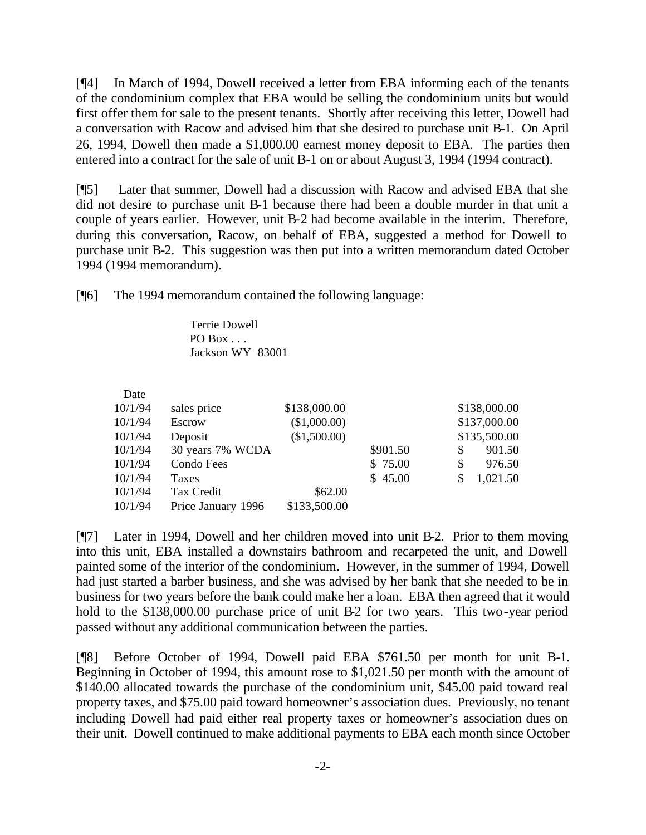[¶4] In March of 1994, Dowell received a letter from EBA informing each of the tenants of the condominium complex that EBA would be selling the condominium units but would first offer them for sale to the present tenants. Shortly after receiving this letter, Dowell had a conversation with Racow and advised him that she desired to purchase unit B-1. On April 26, 1994, Dowell then made a \$1,000.00 earnest money deposit to EBA. The parties then entered into a contract for the sale of unit B-1 on or about August 3, 1994 (1994 contract).

[¶5] Later that summer, Dowell had a discussion with Racow and advised EBA that she did not desire to purchase unit B-1 because there had been a double murder in that unit a couple of years earlier. However, unit B-2 had become available in the interim. Therefore, during this conversation, Racow, on behalf of EBA, suggested a method for Dowell to purchase unit B-2. This suggestion was then put into a written memorandum dated October 1994 (1994 memorandum).

[¶6] The 1994 memorandum contained the following language:

Terrie Dowell PO Box  $\ldots$ Jackson WY 83001

| Date    |                    |              |          |    |              |
|---------|--------------------|--------------|----------|----|--------------|
| 10/1/94 | sales price        | \$138,000.00 |          |    | \$138,000.00 |
| 10/1/94 | Escrow             | (\$1,000.00) |          |    | \$137,000.00 |
| 10/1/94 | Deposit            | (\$1,500.00) |          |    | \$135,500.00 |
| 10/1/94 | 30 years 7% WCDA   |              | \$901.50 | S  | 901.50       |
| 10/1/94 | Condo Fees         |              | \$75.00  | \$ | 976.50       |
| 10/1/94 | Taxes              |              | \$45.00  | \$ | 1,021.50     |
| 10/1/94 | Tax Credit         | \$62.00      |          |    |              |
| 10/1/94 | Price January 1996 | \$133,500.00 |          |    |              |

[¶7] Later in 1994, Dowell and her children moved into unit B-2. Prior to them moving into this unit, EBA installed a downstairs bathroom and recarpeted the unit, and Dowell painted some of the interior of the condominium. However, in the summer of 1994, Dowell had just started a barber business, and she was advised by her bank that she needed to be in business for two years before the bank could make her a loan. EBA then agreed that it would hold to the \$138,000.00 purchase price of unit B-2 for two years. This two-year period passed without any additional communication between the parties.

[¶8] Before October of 1994, Dowell paid EBA \$761.50 per month for unit B-1. Beginning in October of 1994, this amount rose to \$1,021.50 per month with the amount of \$140.00 allocated towards the purchase of the condominium unit, \$45.00 paid toward real property taxes, and \$75.00 paid toward homeowner's association dues. Previously, no tenant including Dowell had paid either real property taxes or homeowner's association dues on their unit. Dowell continued to make additional payments to EBA each month since October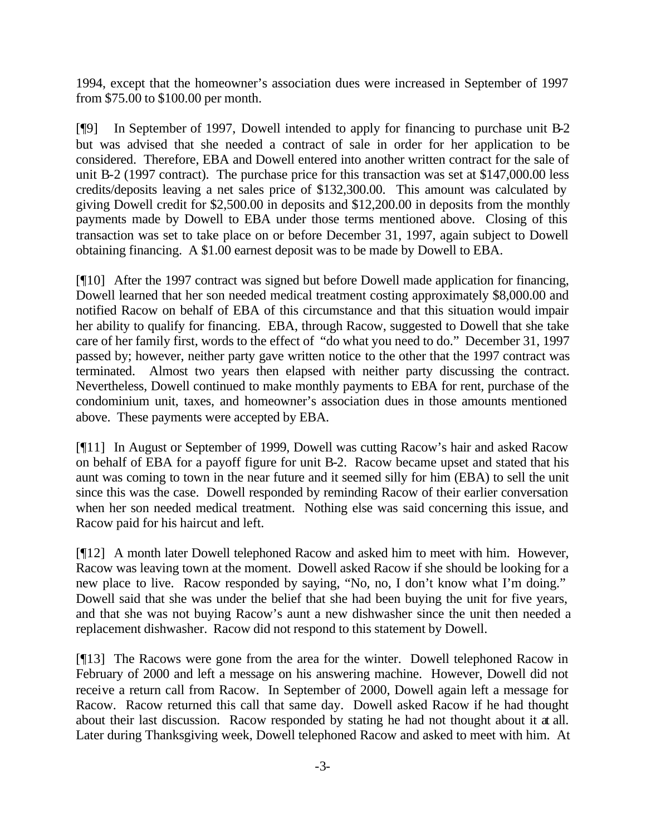1994, except that the homeowner's association dues were increased in September of 1997 from \$75.00 to \$100.00 per month.

[¶9] In September of 1997, Dowell intended to apply for financing to purchase unit B-2 but was advised that she needed a contract of sale in order for her application to be considered. Therefore, EBA and Dowell entered into another written contract for the sale of unit B-2 (1997 contract). The purchase price for this transaction was set at \$147,000.00 less credits/deposits leaving a net sales price of \$132,300.00. This amount was calculated by giving Dowell credit for \$2,500.00 in deposits and \$12,200.00 in deposits from the monthly payments made by Dowell to EBA under those terms mentioned above. Closing of this transaction was set to take place on or before December 31, 1997, again subject to Dowell obtaining financing. A \$1.00 earnest deposit was to be made by Dowell to EBA.

[¶10] After the 1997 contract was signed but before Dowell made application for financing, Dowell learned that her son needed medical treatment costing approximately \$8,000.00 and notified Racow on behalf of EBA of this circumstance and that this situation would impair her ability to qualify for financing. EBA, through Racow, suggested to Dowell that she take care of her family first, words to the effect of "do what you need to do." December 31, 1997 passed by; however, neither party gave written notice to the other that the 1997 contract was terminated. Almost two years then elapsed with neither party discussing the contract. Nevertheless, Dowell continued to make monthly payments to EBA for rent, purchase of the condominium unit, taxes, and homeowner's association dues in those amounts mentioned above. These payments were accepted by EBA.

[¶11] In August or September of 1999, Dowell was cutting Racow's hair and asked Racow on behalf of EBA for a payoff figure for unit B-2. Racow became upset and stated that his aunt was coming to town in the near future and it seemed silly for him (EBA) to sell the unit since this was the case. Dowell responded by reminding Racow of their earlier conversation when her son needed medical treatment. Nothing else was said concerning this issue, and Racow paid for his haircut and left.

[¶12] A month later Dowell telephoned Racow and asked him to meet with him. However, Racow was leaving town at the moment. Dowell asked Racow if she should be looking for a new place to live. Racow responded by saying, "No, no, I don't know what I'm doing." Dowell said that she was under the belief that she had been buying the unit for five years, and that she was not buying Racow's aunt a new dishwasher since the unit then needed a replacement dishwasher. Racow did not respond to this statement by Dowell.

[¶13] The Racows were gone from the area for the winter. Dowell telephoned Racow in February of 2000 and left a message on his answering machine. However, Dowell did not receive a return call from Racow. In September of 2000, Dowell again left a message for Racow. Racow returned this call that same day. Dowell asked Racow if he had thought about their last discussion. Racow responded by stating he had not thought about it at all. Later during Thanksgiving week, Dowell telephoned Racow and asked to meet with him. At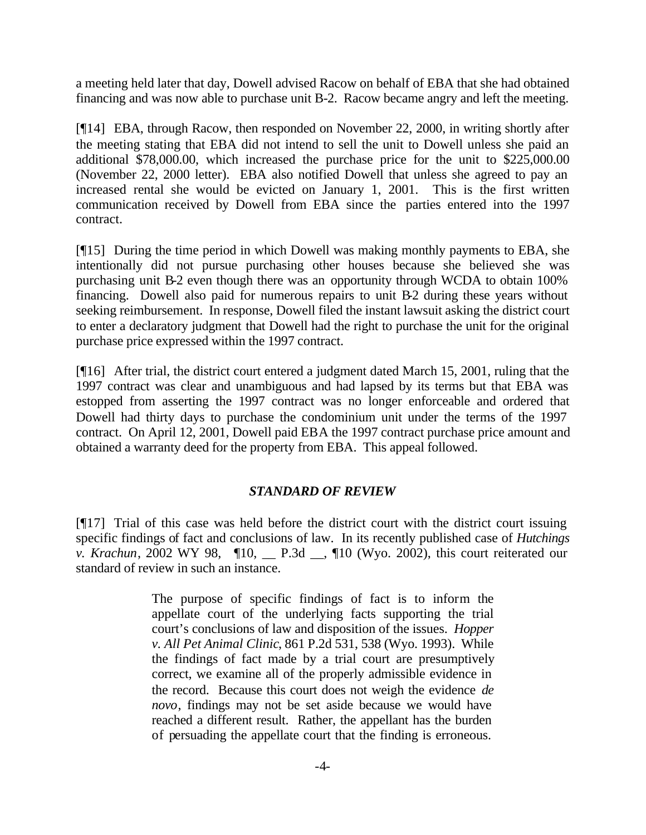a meeting held later that day, Dowell advised Racow on behalf of EBA that she had obtained financing and was now able to purchase unit B-2. Racow became angry and left the meeting.

[¶14] EBA, through Racow, then responded on November 22, 2000, in writing shortly after the meeting stating that EBA did not intend to sell the unit to Dowell unless she paid an additional \$78,000.00, which increased the purchase price for the unit to \$225,000.00 (November 22, 2000 letter). EBA also notified Dowell that unless she agreed to pay an increased rental she would be evicted on January 1, 2001. This is the first written communication received by Dowell from EBA since the parties entered into the 1997 contract.

[¶15] During the time period in which Dowell was making monthly payments to EBA, she intentionally did not pursue purchasing other houses because she believed she was purchasing unit B-2 even though there was an opportunity through WCDA to obtain 100% financing. Dowell also paid for numerous repairs to unit B-2 during these years without seeking reimbursement. In response, Dowell filed the instant lawsuit asking the district court to enter a declaratory judgment that Dowell had the right to purchase the unit for the original purchase price expressed within the 1997 contract.

[¶16] After trial, the district court entered a judgment dated March 15, 2001, ruling that the 1997 contract was clear and unambiguous and had lapsed by its terms but that EBA was estopped from asserting the 1997 contract was no longer enforceable and ordered that Dowell had thirty days to purchase the condominium unit under the terms of the 1997 contract. On April 12, 2001, Dowell paid EBA the 1997 contract purchase price amount and obtained a warranty deed for the property from EBA. This appeal followed.

### *STANDARD OF REVIEW*

[¶17] Trial of this case was held before the district court with the district court issuing specific findings of fact and conclusions of law. In its recently published case of *Hutchings v. Krachun*, 2002 WY 98,  $\P$ 10, \_\_ P.3d \_\_,  $\P$ 10 (Wyo. 2002), this court reiterated our standard of review in such an instance.

> The purpose of specific findings of fact is to inform the appellate court of the underlying facts supporting the trial court's conclusions of law and disposition of the issues. *Hopper v. All Pet Animal Clinic*, 861 P.2d 531, 538 (Wyo. 1993). While the findings of fact made by a trial court are presumptively correct, we examine all of the properly admissible evidence in the record. Because this court does not weigh the evidence *de novo*, findings may not be set aside because we would have reached a different result. Rather, the appellant has the burden of persuading the appellate court that the finding is erroneous.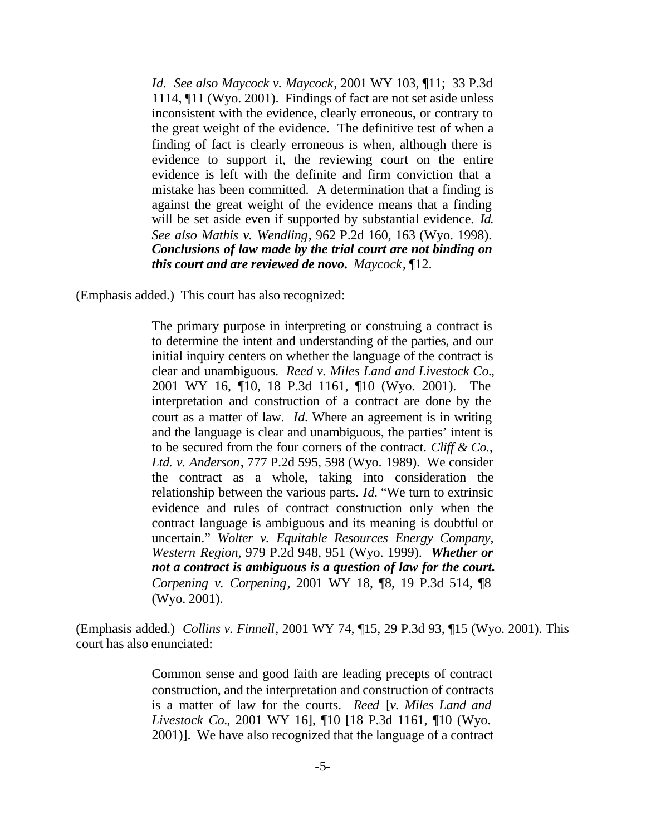*Id. See also Maycock v. Maycock*, 2001 WY 103, ¶11; 33 P.3d 1114, ¶11 (Wyo. 2001). Findings of fact are not set aside unless inconsistent with the evidence, clearly erroneous, or contrary to the great weight of the evidence. The definitive test of when a finding of fact is clearly erroneous is when, although there is evidence to support it, the reviewing court on the entire evidence is left with the definite and firm conviction that a mistake has been committed. A determination that a finding is against the great weight of the evidence means that a finding will be set aside even if supported by substantial evidence. *Id. See also Mathis v. Wendling*, 962 P.2d 160, 163 (Wyo. 1998). *Conclusions of law made by the trial court are not binding on this court and are reviewed de novo***.** *Maycock*, ¶12.

(Emphasis added.) This court has also recognized:

The primary purpose in interpreting or construing a contract is to determine the intent and understanding of the parties, and our initial inquiry centers on whether the language of the contract is clear and unambiguous. *Reed v. Miles Land and Livestock Co.*, 2001 WY 16, ¶10, 18 P.3d 1161, ¶10 (Wyo. 2001). The interpretation and construction of a contract are done by the court as a matter of law. *Id.* Where an agreement is in writing and the language is clear and unambiguous, the parties' intent is to be secured from the four corners of the contract. *Cliff & Co., Ltd. v. Anderson*, 777 P.2d 595, 598 (Wyo. 1989). We consider the contract as a whole, taking into consideration the relationship between the various parts. *Id.* "We turn to extrinsic evidence and rules of contract construction only when the contract language is ambiguous and its meaning is doubtful or uncertain." *Wolter v. Equitable Resources Energy Company, Western Region*, 979 P.2d 948, 951 (Wyo. 1999). *Whether or not a contract is ambiguous is a question of law for the court. Corpening v. Corpening*, 2001 WY 18, ¶8, 19 P.3d 514, ¶8 (Wyo. 2001).

(Emphasis added.) *Collins v. Finnell*, 2001 WY 74, ¶15, 29 P.3d 93, ¶15 (Wyo. 2001). This court has also enunciated:

> Common sense and good faith are leading precepts of contract construction, and the interpretation and construction of contracts is a matter of law for the courts. *Reed* [*v. Miles Land and Livestock Co.*, 2001 WY 16], ¶10 [18 P.3d 1161, ¶10 (Wyo. 2001)]. We have also recognized that the language of a contract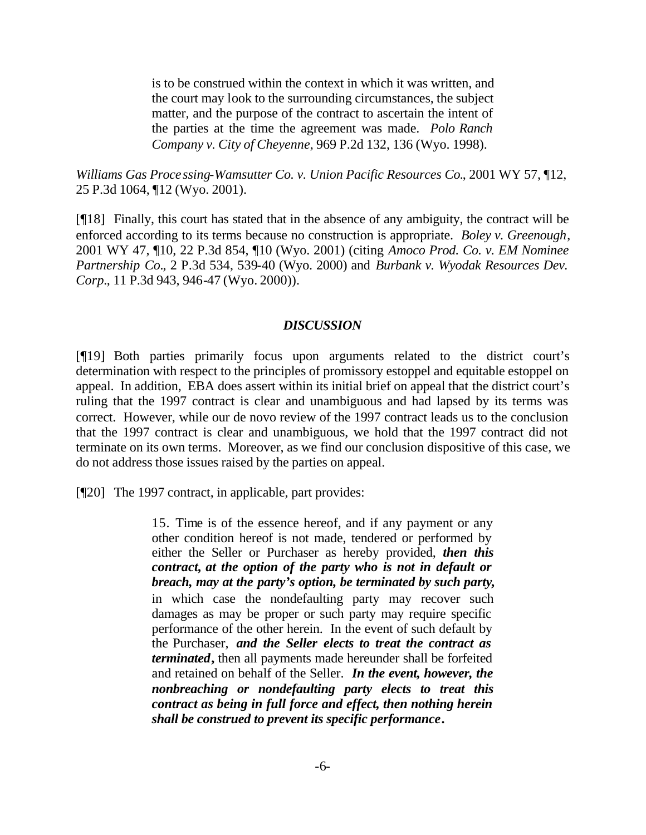is to be construed within the context in which it was written, and the court may look to the surrounding circumstances, the subject matter, and the purpose of the contract to ascertain the intent of the parties at the time the agreement was made. *Polo Ranch Company v. City of Cheyenne*, 969 P.2d 132, 136 (Wyo. 1998).

*Williams Gas Processing-Wamsutter Co. v. Union Pacific Resources Co.*, 2001 WY 57, ¶12, 25 P.3d 1064, ¶12 (Wyo. 2001).

[¶18] Finally, this court has stated that in the absence of any ambiguity, the contract will be enforced according to its terms because no construction is appropriate. *Boley v. Greenough*, 2001 WY 47, ¶10, 22 P.3d 854, ¶10 (Wyo. 2001) (citing *Amoco Prod. Co. v. EM Nominee Partnership Co.*, 2 P.3d 534, 539-40 (Wyo. 2000) and *Burbank v. Wyodak Resources Dev. Corp.*, 11 P.3d 943, 946-47 (Wyo. 2000)).

#### *DISCUSSION*

[¶19] Both parties primarily focus upon arguments related to the district court's determination with respect to the principles of promissory estoppel and equitable estoppel on appeal. In addition, EBA does assert within its initial brief on appeal that the district court's ruling that the 1997 contract is clear and unambiguous and had lapsed by its terms was correct. However, while our de novo review of the 1997 contract leads us to the conclusion that the 1997 contract is clear and unambiguous, we hold that the 1997 contract did not terminate on its own terms. Moreover, as we find our conclusion dispositive of this case, we do not address those issues raised by the parties on appeal.

[¶20] The 1997 contract, in applicable, part provides:

15. Time is of the essence hereof, and if any payment or any other condition hereof is not made, tendered or performed by either the Seller or Purchaser as hereby provided, *then this contract, at the option of the party who is not in default or breach, may at the party's option, be terminated by such party***,** in which case the nondefaulting party may recover such damages as may be proper or such party may require specific performance of the other herein. In the event of such default by the Purchaser, *and the Seller elects to treat the contract as terminated***,** then all payments made hereunder shall be forfeited and retained on behalf of the Seller. *In the event, however, the nonbreaching or nondefaulting party elects to treat this contract as being in full force and effect, then nothing herein shall be construed to prevent its specific performance***.**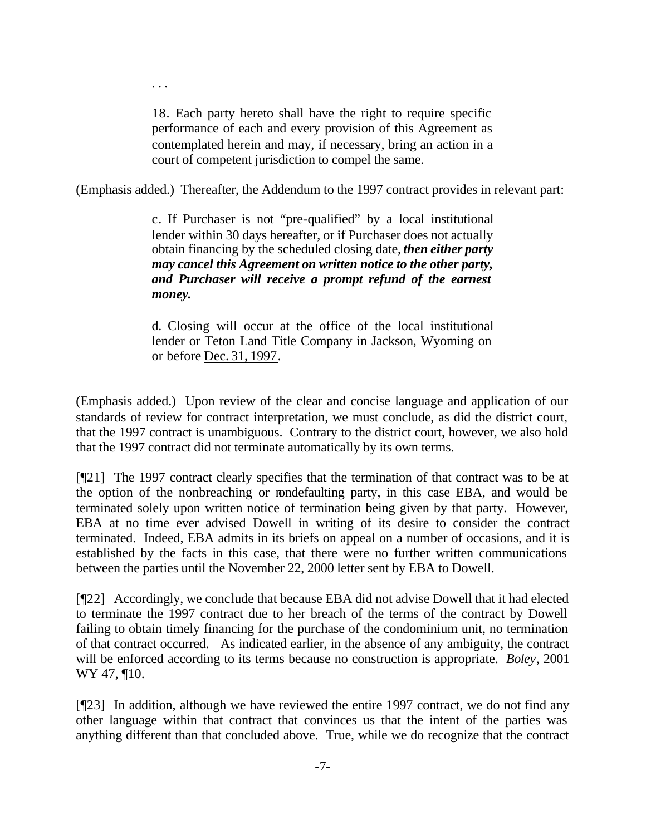18. Each party hereto shall have the right to require specific performance of each and every provision of this Agreement as contemplated herein and may, if necessary, bring an action in a court of competent jurisdiction to compel the same.

. . .

(Emphasis added.) Thereafter, the Addendum to the 1997 contract provides in relevant part:

c. If Purchaser is not "pre-qualified" by a local institutional lender within 30 days hereafter, or if Purchaser does not actually obtain financing by the scheduled closing date, *then either party may cancel this Agreement on written notice to the other party, and Purchaser will receive a prompt refund of the earnest money***.**

d. Closing will occur at the office of the local institutional lender or Teton Land Title Company in Jackson, Wyoming on or before Dec. 31, 1997.

(Emphasis added.) Upon review of the clear and concise language and application of our standards of review for contract interpretation, we must conclude, as did the district court, that the 1997 contract is unambiguous. Contrary to the district court, however, we also hold that the 1997 contract did not terminate automatically by its own terms.

[¶21] The 1997 contract clearly specifies that the termination of that contract was to be at the option of the nonbreaching or nondefaulting party, in this case EBA, and would be terminated solely upon written notice of termination being given by that party. However, EBA at no time ever advised Dowell in writing of its desire to consider the contract terminated. Indeed, EBA admits in its briefs on appeal on a number of occasions, and it is established by the facts in this case, that there were no further written communications between the parties until the November 22, 2000 letter sent by EBA to Dowell.

[¶22] Accordingly, we conclude that because EBA did not advise Dowell that it had elected to terminate the 1997 contract due to her breach of the terms of the contract by Dowell failing to obtain timely financing for the purchase of the condominium unit, no termination of that contract occurred. As indicated earlier, in the absence of any ambiguity, the contract will be enforced according to its terms because no construction is appropriate. *Boley*, 2001 WY 47, **[10.**]

[¶23] In addition, although we have reviewed the entire 1997 contract, we do not find any other language within that contract that convinces us that the intent of the parties was anything different than that concluded above. True, while we do recognize that the contract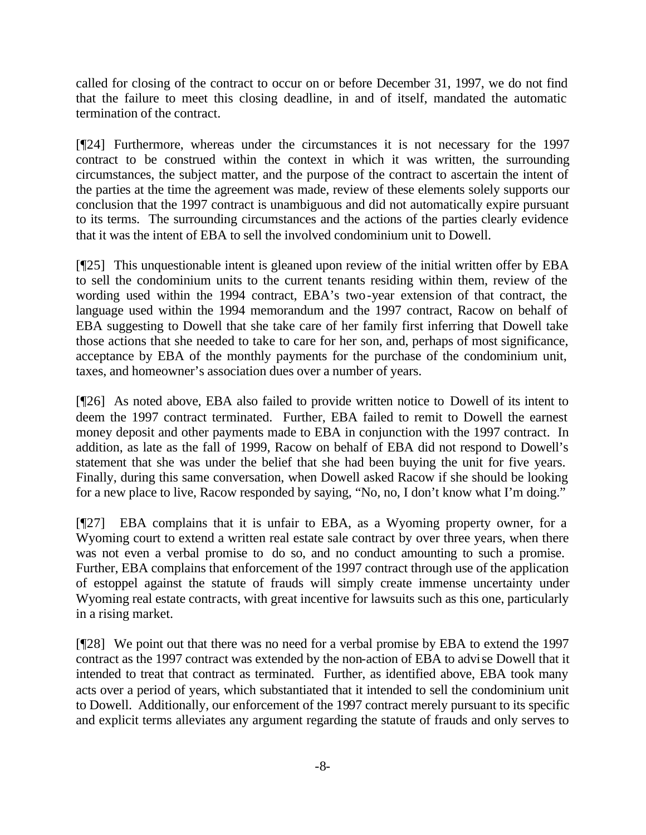called for closing of the contract to occur on or before December 31, 1997, we do not find that the failure to meet this closing deadline, in and of itself, mandated the automatic termination of the contract.

[¶24] Furthermore, whereas under the circumstances it is not necessary for the 1997 contract to be construed within the context in which it was written, the surrounding circumstances, the subject matter, and the purpose of the contract to ascertain the intent of the parties at the time the agreement was made, review of these elements solely supports our conclusion that the 1997 contract is unambiguous and did not automatically expire pursuant to its terms. The surrounding circumstances and the actions of the parties clearly evidence that it was the intent of EBA to sell the involved condominium unit to Dowell.

[¶25] This unquestionable intent is gleaned upon review of the initial written offer by EBA to sell the condominium units to the current tenants residing within them, review of the wording used within the 1994 contract, EBA's two-year extension of that contract, the language used within the 1994 memorandum and the 1997 contract, Racow on behalf of EBA suggesting to Dowell that she take care of her family first inferring that Dowell take those actions that she needed to take to care for her son, and, perhaps of most significance, acceptance by EBA of the monthly payments for the purchase of the condominium unit, taxes, and homeowner's association dues over a number of years.

[¶26] As noted above, EBA also failed to provide written notice to Dowell of its intent to deem the 1997 contract terminated. Further, EBA failed to remit to Dowell the earnest money deposit and other payments made to EBA in conjunction with the 1997 contract. In addition, as late as the fall of 1999, Racow on behalf of EBA did not respond to Dowell's statement that she was under the belief that she had been buying the unit for five years. Finally, during this same conversation, when Dowell asked Racow if she should be looking for a new place to live, Racow responded by saying, "No, no, I don't know what I'm doing."

[¶27] EBA complains that it is unfair to EBA, as a Wyoming property owner, for a Wyoming court to extend a written real estate sale contract by over three years, when there was not even a verbal promise to do so, and no conduct amounting to such a promise. Further, EBA complains that enforcement of the 1997 contract through use of the application of estoppel against the statute of frauds will simply create immense uncertainty under Wyoming real estate contracts, with great incentive for lawsuits such as this one, particularly in a rising market.

[¶28] We point out that there was no need for a verbal promise by EBA to extend the 1997 contract as the 1997 contract was extended by the non-action of EBA to advise Dowell that it intended to treat that contract as terminated. Further, as identified above, EBA took many acts over a period of years, which substantiated that it intended to sell the condominium unit to Dowell. Additionally, our enforcement of the 1997 contract merely pursuant to its specific and explicit terms alleviates any argument regarding the statute of frauds and only serves to